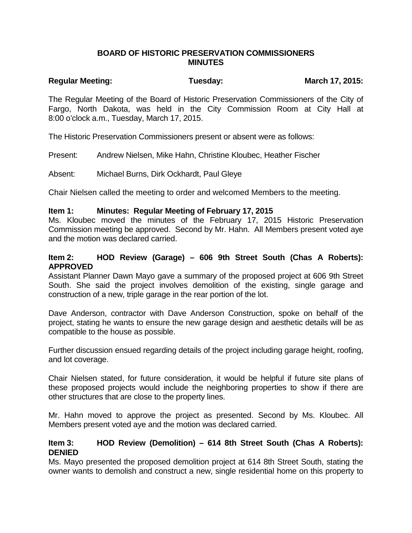### **BOARD OF HISTORIC PRESERVATION COMMISSIONERS MINUTES**

# Regular Meeting: Tuesday: Tuesday: March 17, 2015:

The Regular Meeting of the Board of Historic Preservation Commissioners of the City of Fargo, North Dakota, was held in the City Commission Room at City Hall at 8:00 o'clock a.m., Tuesday, March 17, 2015.

The Historic Preservation Commissioners present or absent were as follows:

Present: Andrew Nielsen, Mike Hahn, Christine Kloubec, Heather Fischer

Absent: Michael Burns, Dirk Ockhardt, Paul Gleye

Chair Nielsen called the meeting to order and welcomed Members to the meeting.

#### **Item 1: Minutes: Regular Meeting of February 17, 2015**

Ms. Kloubec moved the minutes of the February 17, 2015 Historic Preservation Commission meeting be approved. Second by Mr. Hahn. All Members present voted aye and the motion was declared carried.

#### **Item 2: HOD Review (Garage) – 606 9th Street South (Chas A Roberts): APPROVED**

Assistant Planner Dawn Mayo gave a summary of the proposed project at 606 9th Street South. She said the project involves demolition of the existing, single garage and construction of a new, triple garage in the rear portion of the lot.

Dave Anderson, contractor with Dave Anderson Construction, spoke on behalf of the project, stating he wants to ensure the new garage design and aesthetic details will be as compatible to the house as possible.

Further discussion ensued regarding details of the project including garage height, roofing, and lot coverage.

Chair Nielsen stated, for future consideration, it would be helpful if future site plans of these proposed projects would include the neighboring properties to show if there are other structures that are close to the property lines.

Mr. Hahn moved to approve the project as presented. Second by Ms. Kloubec. All Members present voted aye and the motion was declared carried.

#### **Item 3: HOD Review (Demolition) – 614 8th Street South (Chas A Roberts): DENIED**

Ms. Mayo presented the proposed demolition project at 614 8th Street South, stating the owner wants to demolish and construct a new, single residential home on this property to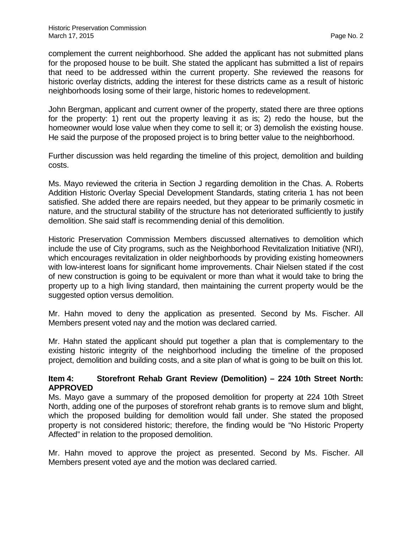complement the current neighborhood. She added the applicant has not submitted plans for the proposed house to be built. She stated the applicant has submitted a list of repairs that need to be addressed within the current property. She reviewed the reasons for historic overlay districts, adding the interest for these districts came as a result of historic neighborhoods losing some of their large, historic homes to redevelopment.

John Bergman, applicant and current owner of the property, stated there are three options for the property: 1) rent out the property leaving it as is; 2) redo the house, but the homeowner would lose value when they come to sell it; or 3) demolish the existing house. He said the purpose of the proposed project is to bring better value to the neighborhood.

Further discussion was held regarding the timeline of this project, demolition and building costs.

Ms. Mayo reviewed the criteria in Section J regarding demolition in the Chas. A. Roberts Addition Historic Overlay Special Development Standards, stating criteria 1 has not been satisfied. She added there are repairs needed, but they appear to be primarily cosmetic in nature, and the structural stability of the structure has not deteriorated sufficiently to justify demolition. She said staff is recommending denial of this demolition.

Historic Preservation Commission Members discussed alternatives to demolition which include the use of City programs, such as the Neighborhood Revitalization Initiative (NRI), which encourages revitalization in older neighborhoods by providing existing homeowners with low-interest loans for significant home improvements. Chair Nielsen stated if the cost of new construction is going to be equivalent or more than what it would take to bring the property up to a high living standard, then maintaining the current property would be the suggested option versus demolition.

Mr. Hahn moved to deny the application as presented. Second by Ms. Fischer. All Members present voted nay and the motion was declared carried.

Mr. Hahn stated the applicant should put together a plan that is complementary to the existing historic integrity of the neighborhood including the timeline of the proposed project, demolition and building costs, and a site plan of what is going to be built on this lot.

### **Item 4: Storefront Rehab Grant Review (Demolition) – 224 10th Street North: APPROVED**

Ms. Mayo gave a summary of the proposed demolition for property at 224 10th Street North, adding one of the purposes of storefront rehab grants is to remove slum and blight, which the proposed building for demolition would fall under. She stated the proposed property is not considered historic; therefore, the finding would be "No Historic Property Affected" in relation to the proposed demolition.

Mr. Hahn moved to approve the project as presented. Second by Ms. Fischer. All Members present voted aye and the motion was declared carried.